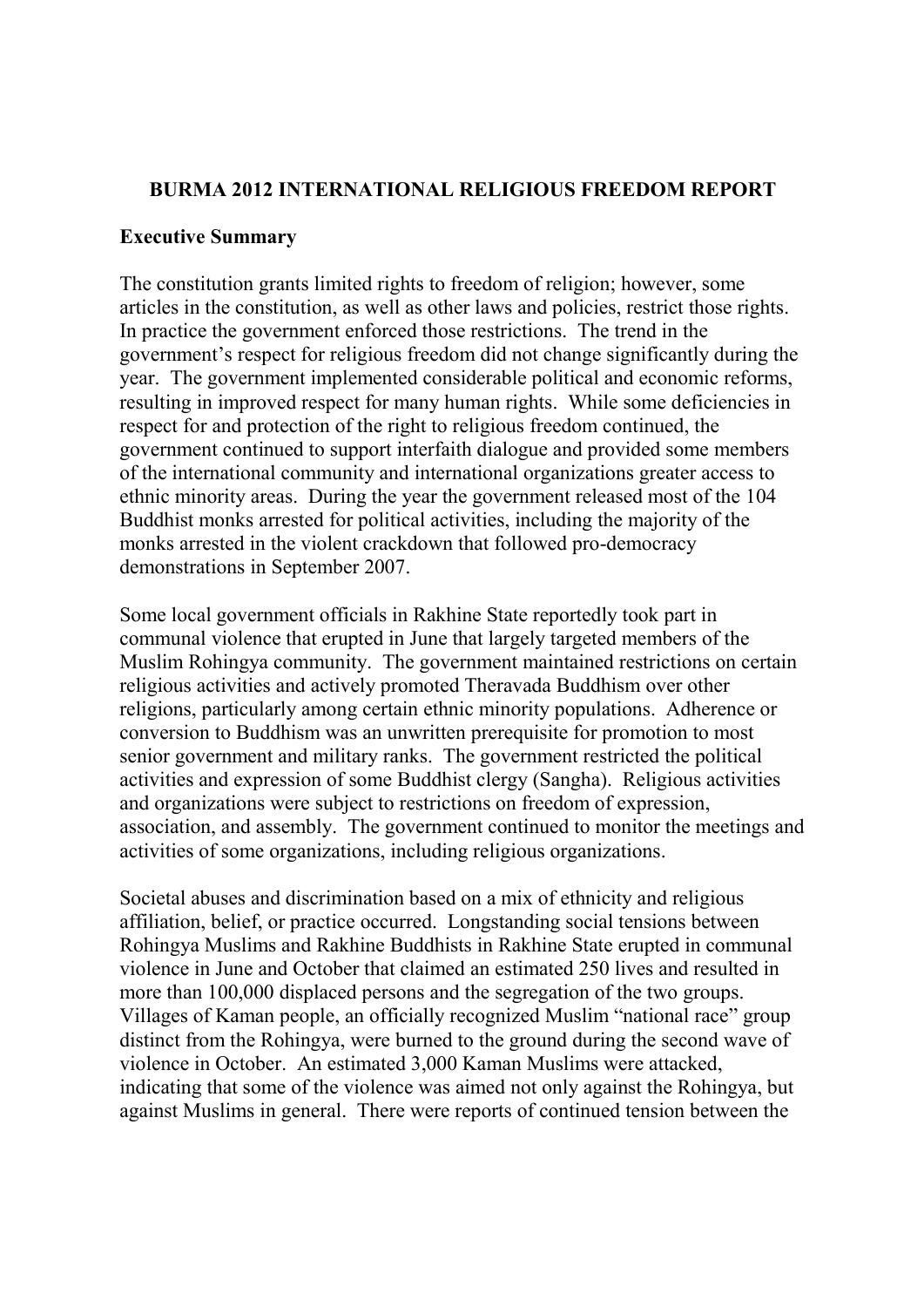## **BURMA 2012 INTERNATIONAL RELIGIOUS FREEDOM REPORT**

## **Executive Summary**

The constitution grants limited rights to freedom of religion; however, some articles in the constitution, as well as other laws and policies, restrict those rights. In practice the government enforced those restrictions. The trend in the government's respect for religious freedom did not change significantly during the year. The government implemented considerable political and economic reforms, resulting in improved respect for many human rights. While some deficiencies in respect for and protection of the right to religious freedom continued, the government continued to support interfaith dialogue and provided some members of the international community and international organizations greater access to ethnic minority areas. During the year the government released most of the 104 Buddhist monks arrested for political activities, including the majority of the monks arrested in the violent crackdown that followed pro-democracy demonstrations in September 2007.

Some local government officials in Rakhine State reportedly took part in communal violence that erupted in June that largely targeted members of the Muslim Rohingya community. The government maintained restrictions on certain religious activities and actively promoted Theravada Buddhism over other religions, particularly among certain ethnic minority populations. Adherence or conversion to Buddhism was an unwritten prerequisite for promotion to most senior government and military ranks. The government restricted the political activities and expression of some Buddhist clergy (Sangha). Religious activities and organizations were subject to restrictions on freedom of expression, association, and assembly. The government continued to monitor the meetings and activities of some organizations, including religious organizations.

Societal abuses and discrimination based on a mix of ethnicity and religious affiliation, belief, or practice occurred. Longstanding social tensions between Rohingya Muslims and Rakhine Buddhists in Rakhine State erupted in communal violence in June and October that claimed an estimated 250 lives and resulted in more than 100,000 displaced persons and the segregation of the two groups. Villages of Kaman people, an officially recognized Muslim "national race" group distinct from the Rohingya, were burned to the ground during the second wave of violence in October. An estimated 3,000 Kaman Muslims were attacked, indicating that some of the violence was aimed not only against the Rohingya, but against Muslims in general. There were reports of continued tension between the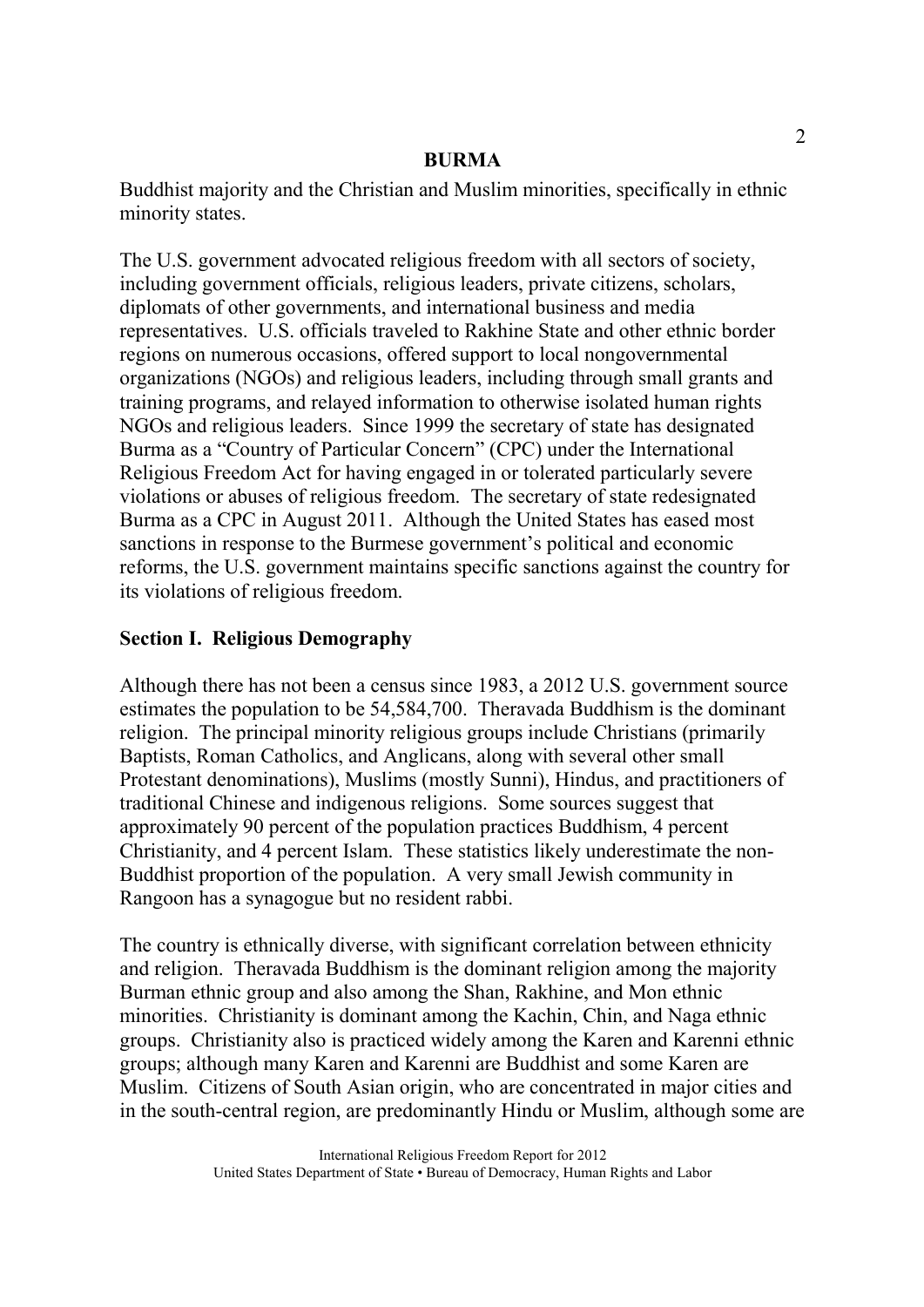Buddhist majority and the Christian and Muslim minorities, specifically in ethnic minority states.

The U.S. government advocated religious freedom with all sectors of society, including government officials, religious leaders, private citizens, scholars, diplomats of other governments, and international business and media representatives. U.S. officials traveled to Rakhine State and other ethnic border regions on numerous occasions, offered support to local nongovernmental organizations (NGOs) and religious leaders, including through small grants and training programs, and relayed information to otherwise isolated human rights NGOs and religious leaders. Since 1999 the secretary of state has designated Burma as a "Country of Particular Concern" (CPC) under the International Religious Freedom Act for having engaged in or tolerated particularly severe violations or abuses of religious freedom. The secretary of state redesignated Burma as a CPC in August 2011. Although the United States has eased most sanctions in response to the Burmese government's political and economic reforms, the U.S. government maintains specific sanctions against the country for its violations of religious freedom.

# **Section I. Religious Demography**

Although there has not been a census since 1983, a 2012 U.S. government source estimates the population to be 54,584,700. Theravada Buddhism is the dominant religion. The principal minority religious groups include Christians (primarily Baptists, Roman Catholics, and Anglicans, along with several other small Protestant denominations), Muslims (mostly Sunni), Hindus, and practitioners of traditional Chinese and indigenous religions. Some sources suggest that approximately 90 percent of the population practices Buddhism, 4 percent Christianity, and 4 percent Islam. These statistics likely underestimate the non-Buddhist proportion of the population. A very small Jewish community in Rangoon has a synagogue but no resident rabbi.

The country is ethnically diverse, with significant correlation between ethnicity and religion. Theravada Buddhism is the dominant religion among the majority Burman ethnic group and also among the Shan, Rakhine, and Mon ethnic minorities. Christianity is dominant among the Kachin, Chin, and Naga ethnic groups. Christianity also is practiced widely among the Karen and Karenni ethnic groups; although many Karen and Karenni are Buddhist and some Karen are Muslim. Citizens of South Asian origin, who are concentrated in major cities and in the south-central region, are predominantly Hindu or Muslim, although some are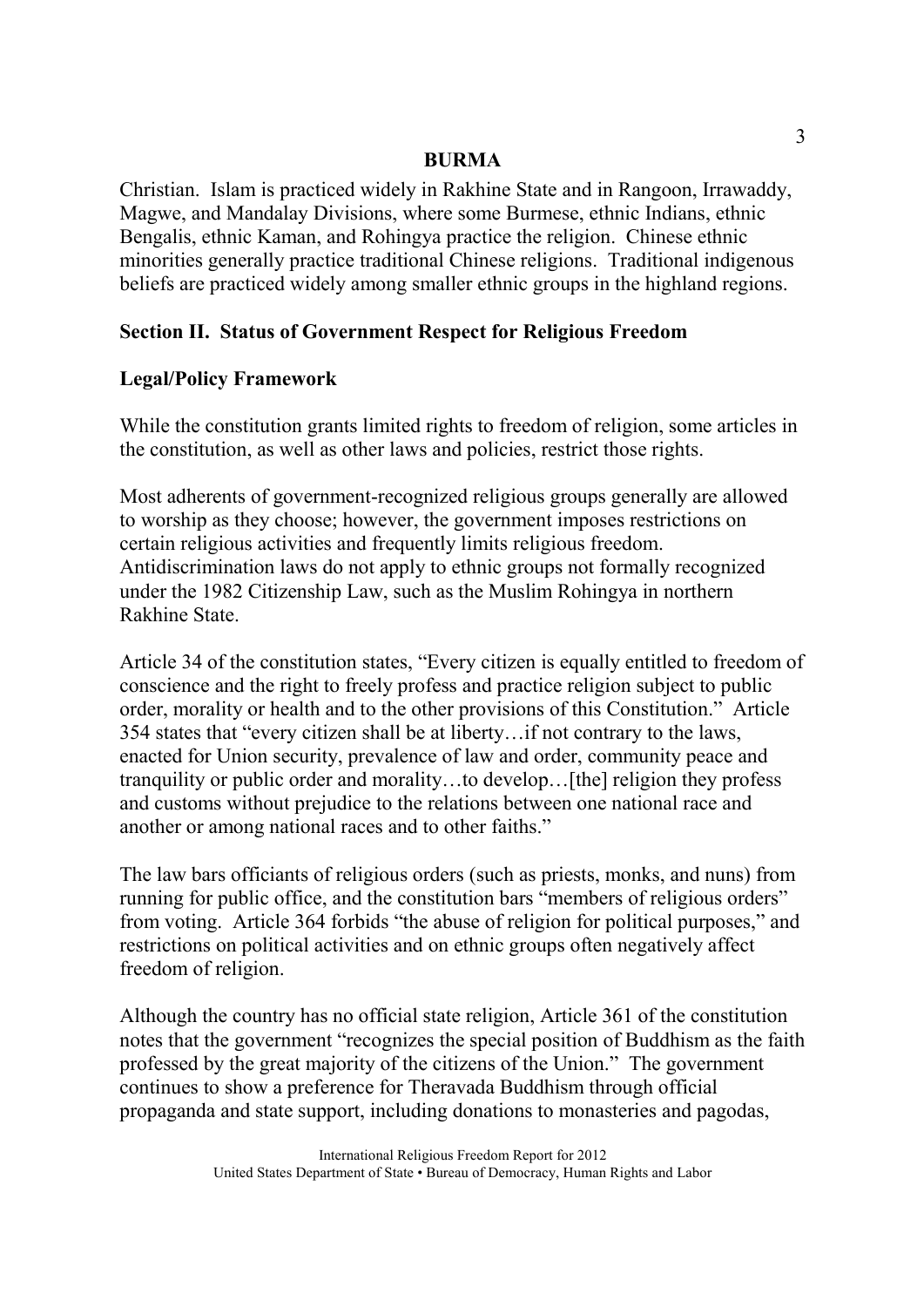Christian. Islam is practiced widely in Rakhine State and in Rangoon, Irrawaddy, Magwe, and Mandalay Divisions, where some Burmese, ethnic Indians, ethnic Bengalis, ethnic Kaman, and Rohingya practice the religion. Chinese ethnic minorities generally practice traditional Chinese religions. Traditional indigenous beliefs are practiced widely among smaller ethnic groups in the highland regions.

# **Section II. Status of Government Respect for Religious Freedom**

# **Legal/Policy Framework**

While the constitution grants limited rights to freedom of religion, some articles in the constitution, as well as other laws and policies, restrict those rights.

Most adherents of government-recognized religious groups generally are allowed to worship as they choose; however, the government imposes restrictions on certain religious activities and frequently limits religious freedom. Antidiscrimination laws do not apply to ethnic groups not formally recognized under the 1982 Citizenship Law, such as the Muslim Rohingya in northern Rakhine State.

Article 34 of the constitution states, "Every citizen is equally entitled to freedom of conscience and the right to freely profess and practice religion subject to public order, morality or health and to the other provisions of this Constitution." Article 354 states that "every citizen shall be at liberty…if not contrary to the laws, enacted for Union security, prevalence of law and order, community peace and tranquility or public order and morality…to develop…[the] religion they profess and customs without prejudice to the relations between one national race and another or among national races and to other faiths."

The law bars officiants of religious orders (such as priests, monks, and nuns) from running for public office, and the constitution bars "members of religious orders" from voting. Article 364 forbids "the abuse of religion for political purposes," and restrictions on political activities and on ethnic groups often negatively affect freedom of religion.

Although the country has no official state religion, Article 361 of the constitution notes that the government "recognizes the special position of Buddhism as the faith professed by the great majority of the citizens of the Union." The government continues to show a preference for Theravada Buddhism through official propaganda and state support, including donations to monasteries and pagodas,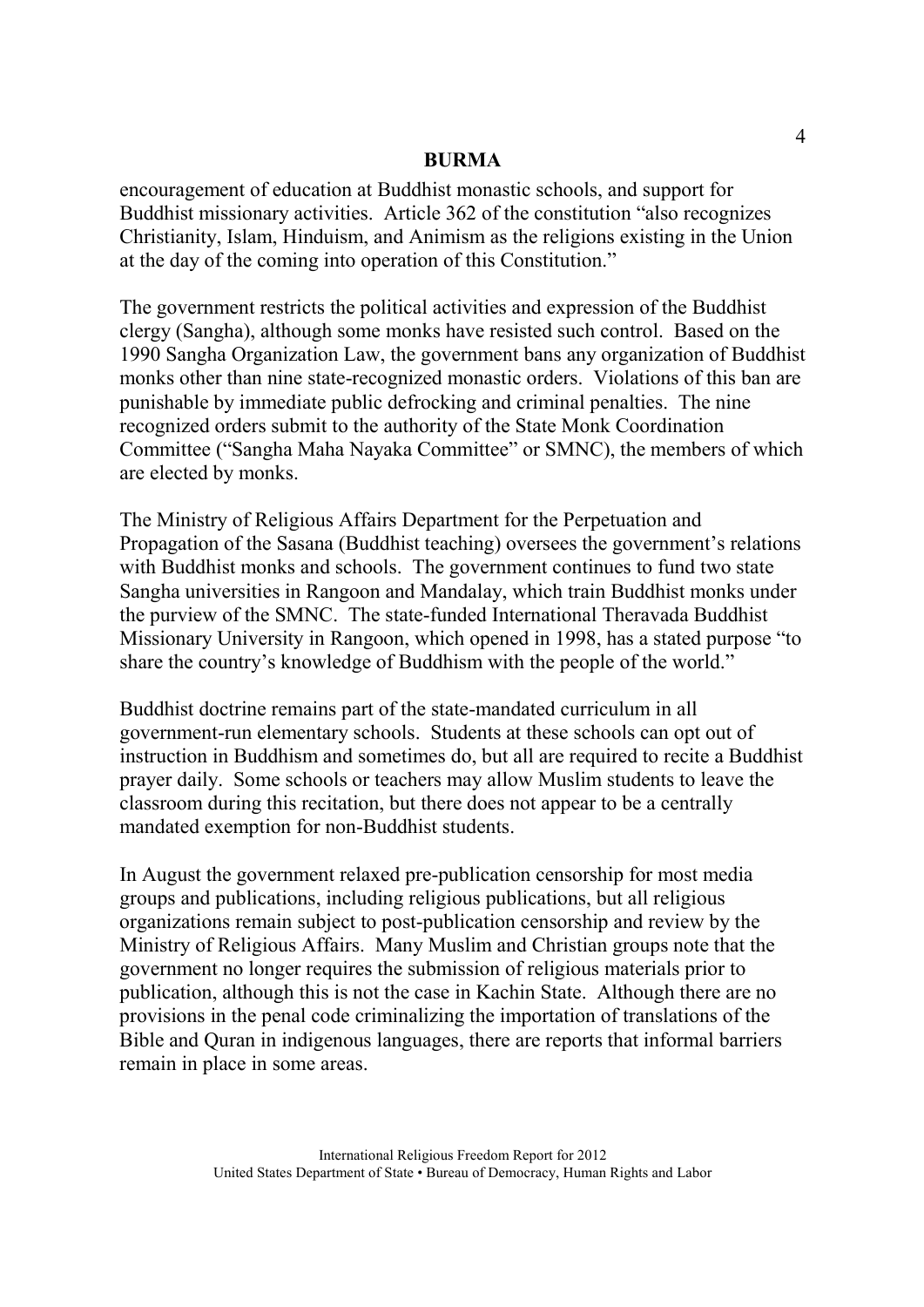encouragement of education at Buddhist monastic schools, and support for Buddhist missionary activities. Article 362 of the constitution "also recognizes Christianity, Islam, Hinduism, and Animism as the religions existing in the Union at the day of the coming into operation of this Constitution."

The government restricts the political activities and expression of the Buddhist clergy (Sangha), although some monks have resisted such control. Based on the 1990 Sangha Organization Law, the government bans any organization of Buddhist monks other than nine state-recognized monastic orders. Violations of this ban are punishable by immediate public defrocking and criminal penalties. The nine recognized orders submit to the authority of the State Monk Coordination Committee ("Sangha Maha Nayaka Committee" or SMNC), the members of which are elected by monks.

The Ministry of Religious Affairs Department for the Perpetuation and Propagation of the Sasana (Buddhist teaching) oversees the government's relations with Buddhist monks and schools. The government continues to fund two state Sangha universities in Rangoon and Mandalay, which train Buddhist monks under the purview of the SMNC. The state-funded International Theravada Buddhist Missionary University in Rangoon, which opened in 1998, has a stated purpose "to share the country's knowledge of Buddhism with the people of the world."

Buddhist doctrine remains part of the state-mandated curriculum in all government-run elementary schools. Students at these schools can opt out of instruction in Buddhism and sometimes do, but all are required to recite a Buddhist prayer daily. Some schools or teachers may allow Muslim students to leave the classroom during this recitation, but there does not appear to be a centrally mandated exemption for non-Buddhist students.

In August the government relaxed pre-publication censorship for most media groups and publications, including religious publications, but all religious organizations remain subject to post-publication censorship and review by the Ministry of Religious Affairs. Many Muslim and Christian groups note that the government no longer requires the submission of religious materials prior to publication, although this is not the case in Kachin State. Although there are no provisions in the penal code criminalizing the importation of translations of the Bible and Quran in indigenous languages, there are reports that informal barriers remain in place in some areas.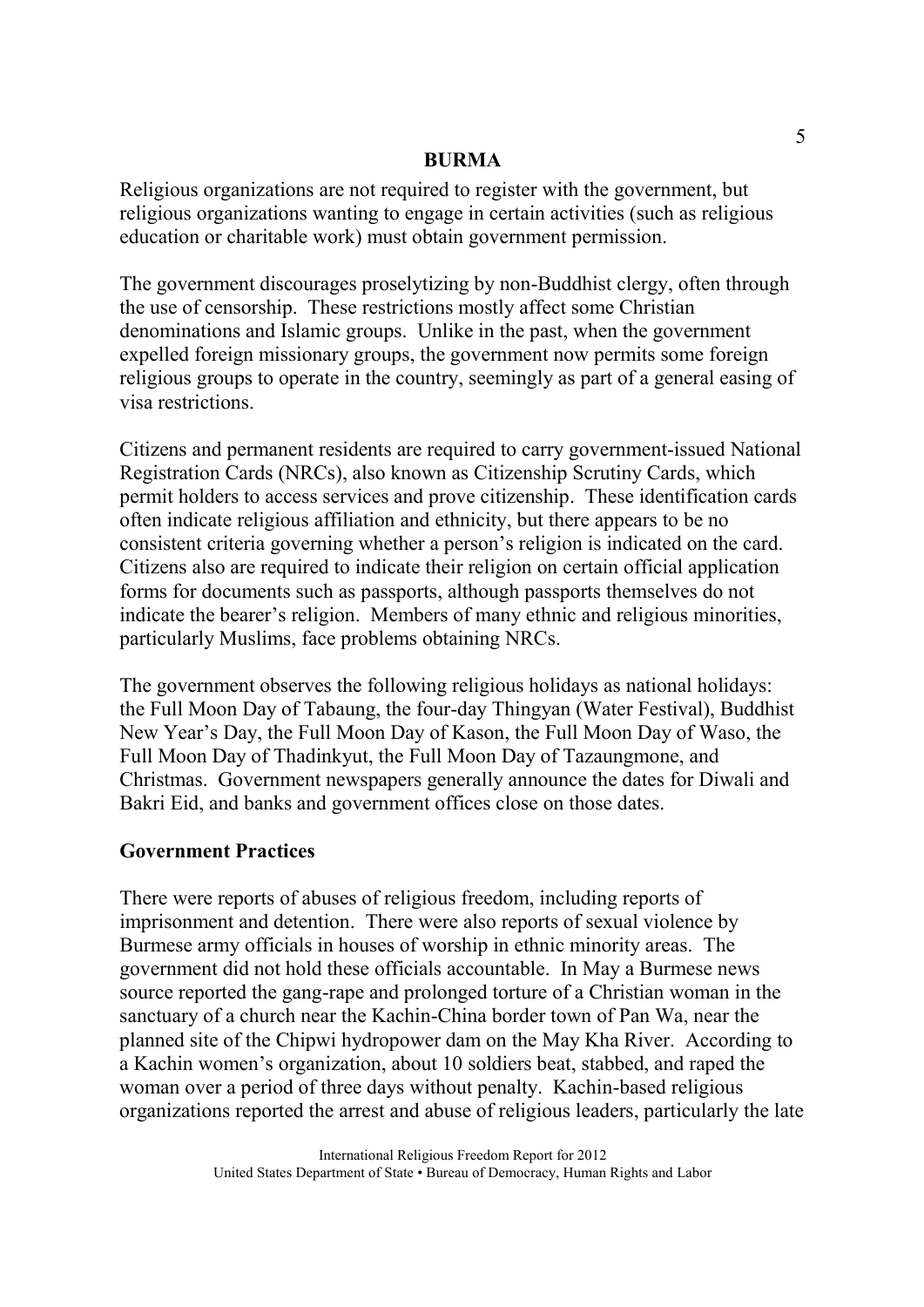Religious organizations are not required to register with the government, but religious organizations wanting to engage in certain activities (such as religious education or charitable work) must obtain government permission.

The government discourages proselytizing by non-Buddhist clergy, often through the use of censorship. These restrictions mostly affect some Christian denominations and Islamic groups. Unlike in the past, when the government expelled foreign missionary groups, the government now permits some foreign religious groups to operate in the country, seemingly as part of a general easing of visa restrictions.

Citizens and permanent residents are required to carry government-issued National Registration Cards (NRCs), also known as Citizenship Scrutiny Cards, which permit holders to access services and prove citizenship. These identification cards often indicate religious affiliation and ethnicity, but there appears to be no consistent criteria governing whether a person's religion is indicated on the card. Citizens also are required to indicate their religion on certain official application forms for documents such as passports, although passports themselves do not indicate the bearer's religion. Members of many ethnic and religious minorities, particularly Muslims, face problems obtaining NRCs.

The government observes the following religious holidays as national holidays: the Full Moon Day of Tabaung, the four-day Thingyan (Water Festival), Buddhist New Year's Day, the Full Moon Day of Kason, the Full Moon Day of Waso, the Full Moon Day of Thadinkyut, the Full Moon Day of Tazaungmone, and Christmas. Government newspapers generally announce the dates for Diwali and Bakri Eid, and banks and government offices close on those dates.

## **Government Practices**

There were reports of abuses of religious freedom, including reports of imprisonment and detention. There were also reports of sexual violence by Burmese army officials in houses of worship in ethnic minority areas. The government did not hold these officials accountable. In May a Burmese news source reported the gang-rape and prolonged torture of a Christian woman in the sanctuary of a church near the Kachin-China border town of Pan Wa, near the planned site of the Chipwi hydropower dam on the May Kha River. According to a Kachin women's organization, about 10 soldiers beat, stabbed, and raped the woman over a period of three days without penalty. Kachin-based religious organizations reported the arrest and abuse of religious leaders, particularly the late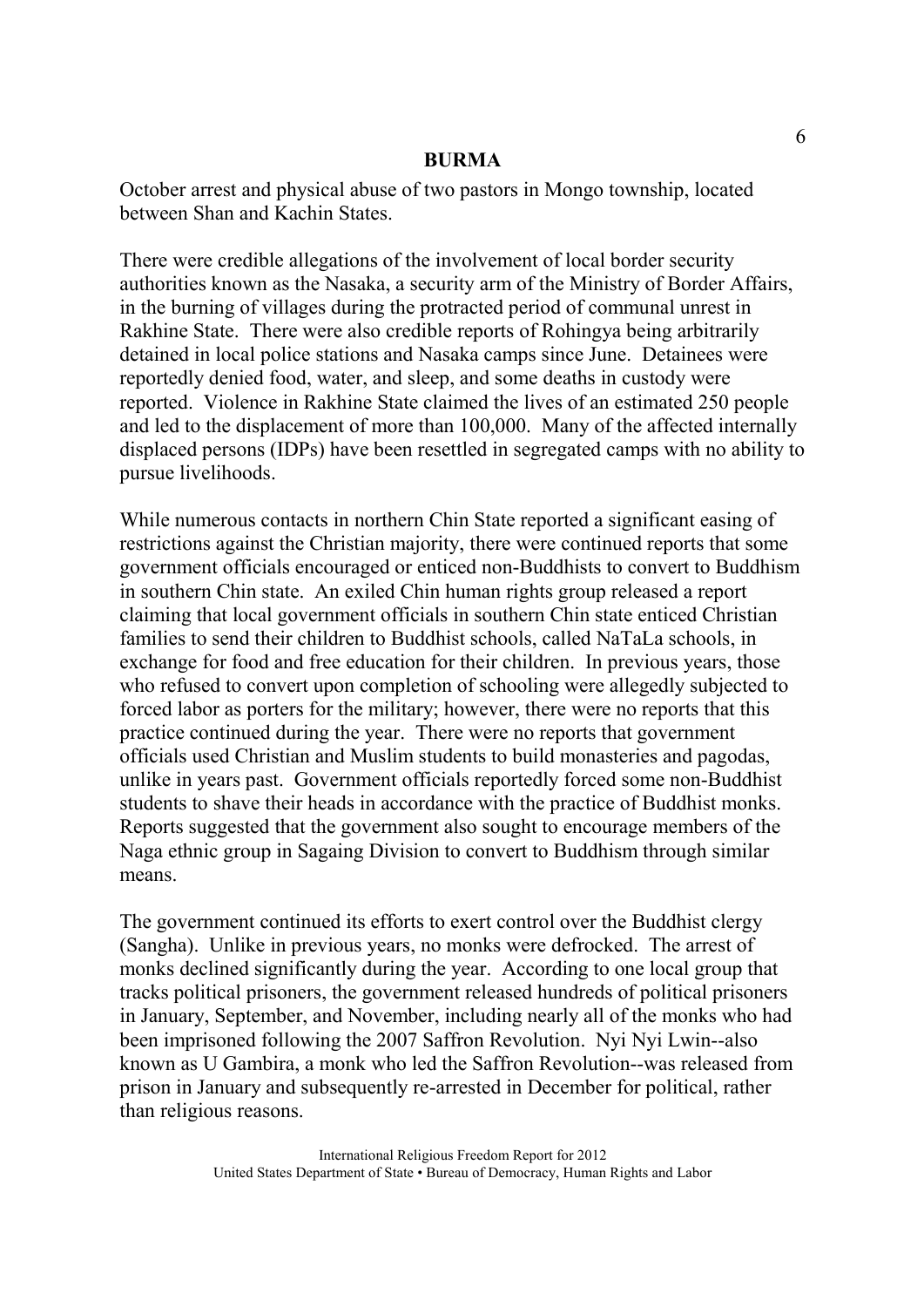October arrest and physical abuse of two pastors in Mongo township, located between Shan and Kachin States.

There were credible allegations of the involvement of local border security authorities known as the Nasaka, a security arm of the Ministry of Border Affairs, in the burning of villages during the protracted period of communal unrest in Rakhine State. There were also credible reports of Rohingya being arbitrarily detained in local police stations and Nasaka camps since June. Detainees were reportedly denied food, water, and sleep, and some deaths in custody were reported. Violence in Rakhine State claimed the lives of an estimated 250 people and led to the displacement of more than 100,000. Many of the affected internally displaced persons (IDPs) have been resettled in segregated camps with no ability to pursue livelihoods.

While numerous contacts in northern Chin State reported a significant easing of restrictions against the Christian majority, there were continued reports that some government officials encouraged or enticed non-Buddhists to convert to Buddhism in southern Chin state. An exiled Chin human rights group released a report claiming that local government officials in southern Chin state enticed Christian families to send their children to Buddhist schools, called NaTaLa schools, in exchange for food and free education for their children. In previous years, those who refused to convert upon completion of schooling were allegedly subjected to forced labor as porters for the military; however, there were no reports that this practice continued during the year. There were no reports that government officials used Christian and Muslim students to build monasteries and pagodas, unlike in years past. Government officials reportedly forced some non-Buddhist students to shave their heads in accordance with the practice of Buddhist monks. Reports suggested that the government also sought to encourage members of the Naga ethnic group in Sagaing Division to convert to Buddhism through similar means.

The government continued its efforts to exert control over the Buddhist clergy (Sangha). Unlike in previous years, no monks were defrocked. The arrest of monks declined significantly during the year. According to one local group that tracks political prisoners, the government released hundreds of political prisoners in January, September, and November, including nearly all of the monks who had been imprisoned following the 2007 Saffron Revolution. Nyi Nyi Lwin--also known as U Gambira, a monk who led the Saffron Revolution--was released from prison in January and subsequently re-arrested in December for political, rather than religious reasons.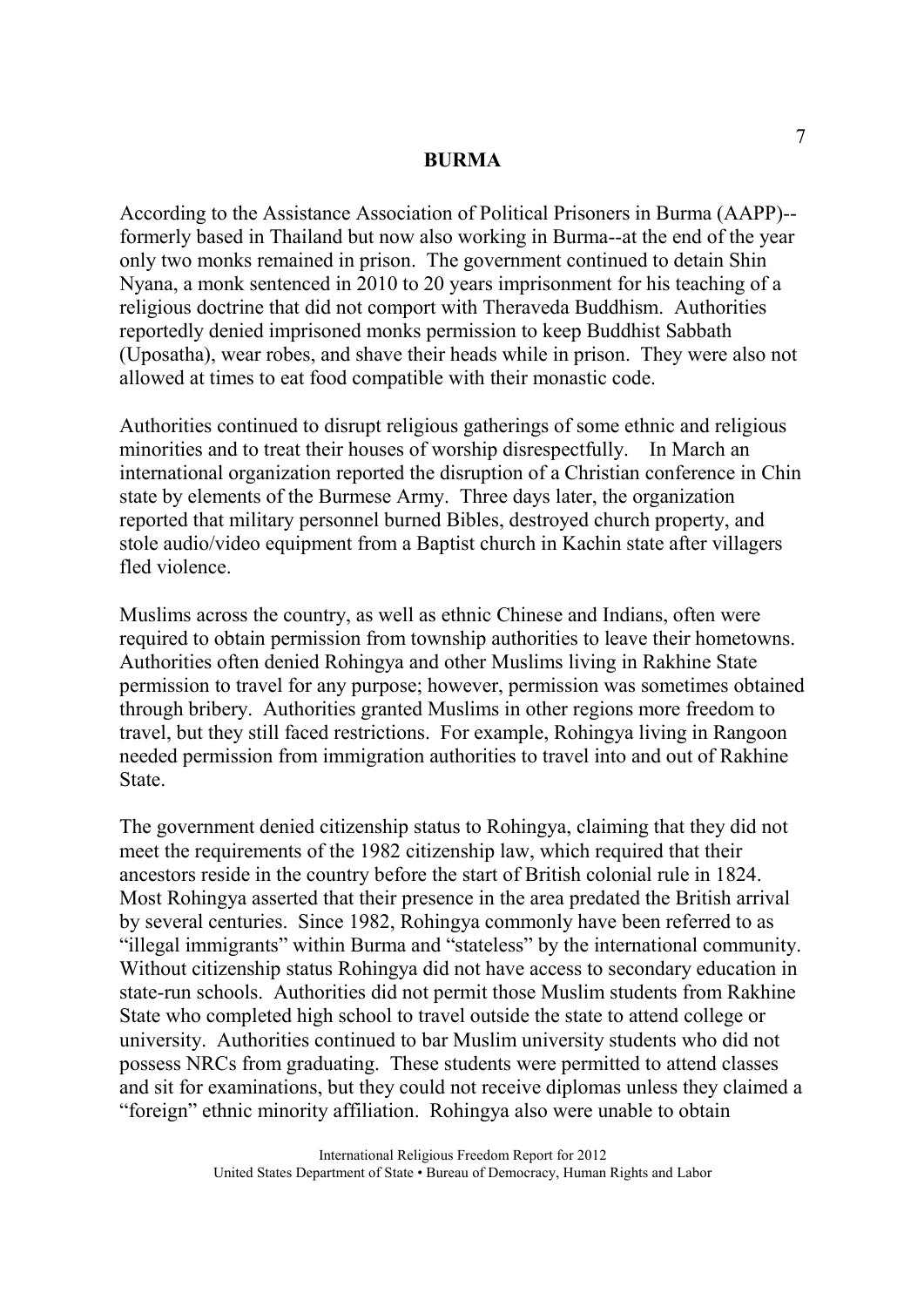According to the Assistance Association of Political Prisoners in Burma (AAPP)- formerly based in Thailand but now also working in Burma--at the end of the year only two monks remained in prison. The government continued to detain Shin Nyana, a monk sentenced in 2010 to 20 years imprisonment for his teaching of a religious doctrine that did not comport with Theraveda Buddhism. Authorities reportedly denied imprisoned monks permission to keep Buddhist Sabbath (Uposatha), wear robes, and shave their heads while in prison. They were also not allowed at times to eat food compatible with their monastic code.

Authorities continued to disrupt religious gatherings of some ethnic and religious minorities and to treat their houses of worship disrespectfully. In March an international organization reported the disruption of a Christian conference in Chin state by elements of the Burmese Army. Three days later, the organization reported that military personnel burned Bibles, destroyed church property, and stole audio/video equipment from a Baptist church in Kachin state after villagers fled violence.

Muslims across the country, as well as ethnic Chinese and Indians, often were required to obtain permission from township authorities to leave their hometowns. Authorities often denied Rohingya and other Muslims living in Rakhine State permission to travel for any purpose; however, permission was sometimes obtained through bribery. Authorities granted Muslims in other regions more freedom to travel, but they still faced restrictions. For example, Rohingya living in Rangoon needed permission from immigration authorities to travel into and out of Rakhine State.

The government denied citizenship status to Rohingya, claiming that they did not meet the requirements of the 1982 citizenship law, which required that their ancestors reside in the country before the start of British colonial rule in 1824. Most Rohingya asserted that their presence in the area predated the British arrival by several centuries. Since 1982, Rohingya commonly have been referred to as "illegal immigrants" within Burma and "stateless" by the international community. Without citizenship status Rohingya did not have access to secondary education in state-run schools. Authorities did not permit those Muslim students from Rakhine State who completed high school to travel outside the state to attend college or university. Authorities continued to bar Muslim university students who did not possess NRCs from graduating. These students were permitted to attend classes and sit for examinations, but they could not receive diplomas unless they claimed a "foreign" ethnic minority affiliation. Rohingya also were unable to obtain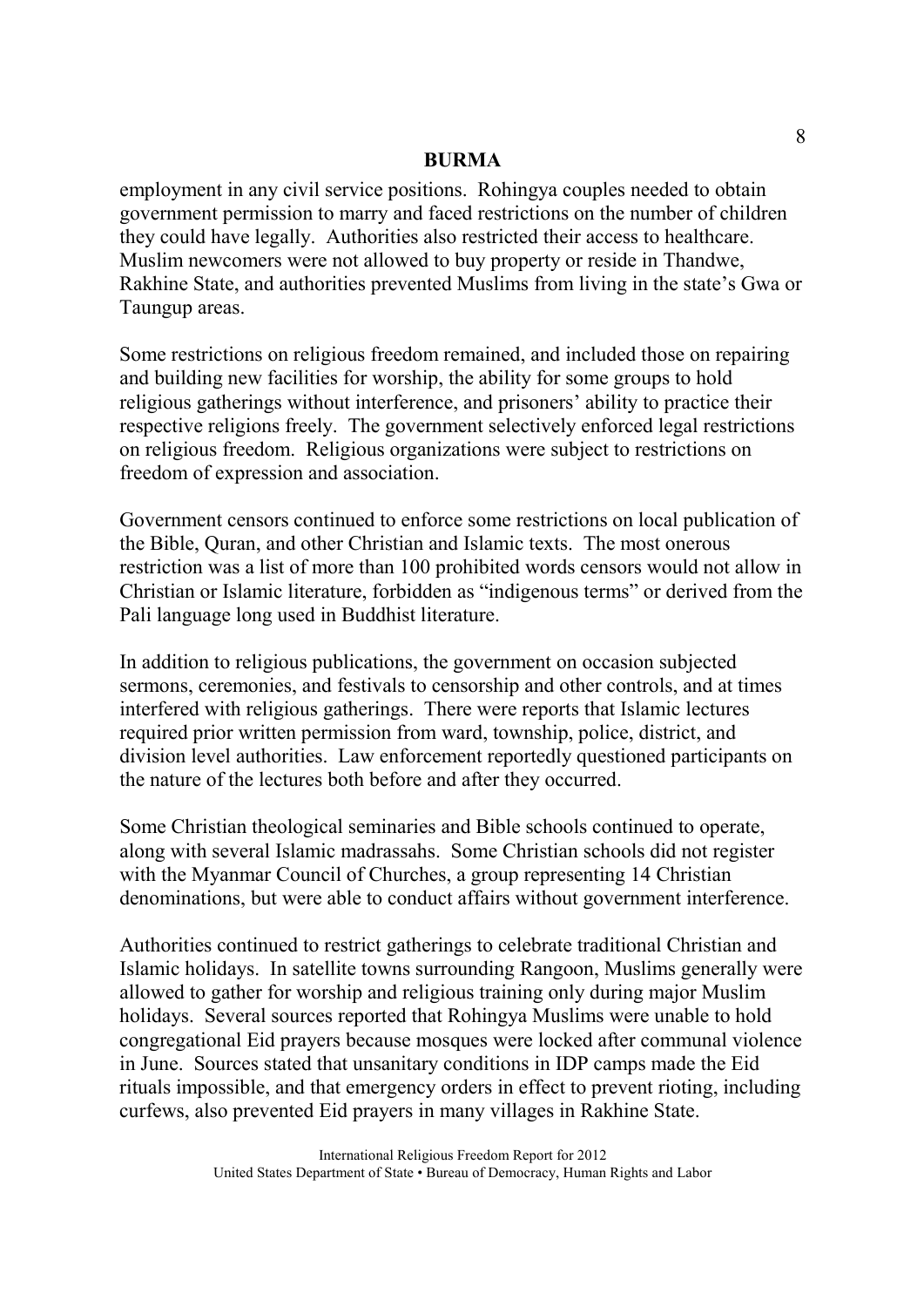employment in any civil service positions. Rohingya couples needed to obtain government permission to marry and faced restrictions on the number of children they could have legally. Authorities also restricted their access to healthcare. Muslim newcomers were not allowed to buy property or reside in Thandwe, Rakhine State, and authorities prevented Muslims from living in the state's Gwa or Taungup areas.

Some restrictions on religious freedom remained, and included those on repairing and building new facilities for worship, the ability for some groups to hold religious gatherings without interference, and prisoners' ability to practice their respective religions freely. The government selectively enforced legal restrictions on religious freedom. Religious organizations were subject to restrictions on freedom of expression and association.

Government censors continued to enforce some restrictions on local publication of the Bible, Quran, and other Christian and Islamic texts. The most onerous restriction was a list of more than 100 prohibited words censors would not allow in Christian or Islamic literature, forbidden as "indigenous terms" or derived from the Pali language long used in Buddhist literature.

In addition to religious publications, the government on occasion subjected sermons, ceremonies, and festivals to censorship and other controls, and at times interfered with religious gatherings. There were reports that Islamic lectures required prior written permission from ward, township, police, district, and division level authorities. Law enforcement reportedly questioned participants on the nature of the lectures both before and after they occurred.

Some Christian theological seminaries and Bible schools continued to operate, along with several Islamic madrassahs. Some Christian schools did not register with the Myanmar Council of Churches, a group representing 14 Christian denominations, but were able to conduct affairs without government interference.

Authorities continued to restrict gatherings to celebrate traditional Christian and Islamic holidays. In satellite towns surrounding Rangoon, Muslims generally were allowed to gather for worship and religious training only during major Muslim holidays. Several sources reported that Rohingya Muslims were unable to hold congregational Eid prayers because mosques were locked after communal violence in June. Sources stated that unsanitary conditions in IDP camps made the Eid rituals impossible, and that emergency orders in effect to prevent rioting, including curfews, also prevented Eid prayers in many villages in Rakhine State.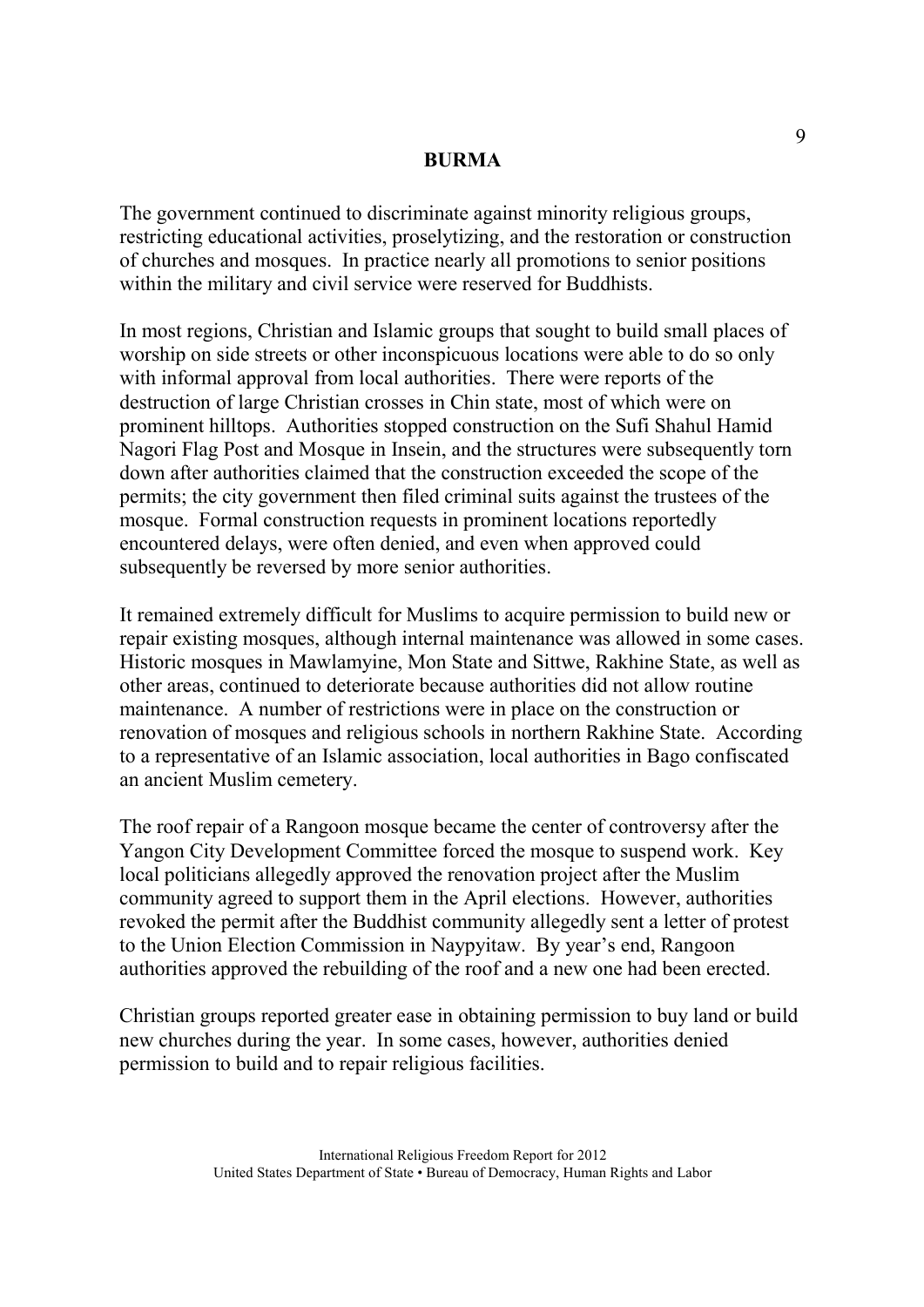The government continued to discriminate against minority religious groups, restricting educational activities, proselytizing, and the restoration or construction of churches and mosques. In practice nearly all promotions to senior positions within the military and civil service were reserved for Buddhists.

In most regions, Christian and Islamic groups that sought to build small places of worship on side streets or other inconspicuous locations were able to do so only with informal approval from local authorities. There were reports of the destruction of large Christian crosses in Chin state, most of which were on prominent hilltops. Authorities stopped construction on the Sufi Shahul Hamid Nagori Flag Post and Mosque in Insein, and the structures were subsequently torn down after authorities claimed that the construction exceeded the scope of the permits; the city government then filed criminal suits against the trustees of the mosque. Formal construction requests in prominent locations reportedly encountered delays, were often denied, and even when approved could subsequently be reversed by more senior authorities.

It remained extremely difficult for Muslims to acquire permission to build new or repair existing mosques, although internal maintenance was allowed in some cases. Historic mosques in Mawlamyine, Mon State and Sittwe, Rakhine State, as well as other areas, continued to deteriorate because authorities did not allow routine maintenance. A number of restrictions were in place on the construction or renovation of mosques and religious schools in northern Rakhine State. According to a representative of an Islamic association, local authorities in Bago confiscated an ancient Muslim cemetery.

The roof repair of a Rangoon mosque became the center of controversy after the Yangon City Development Committee forced the mosque to suspend work. Key local politicians allegedly approved the renovation project after the Muslim community agreed to support them in the April elections. However, authorities revoked the permit after the Buddhist community allegedly sent a letter of protest to the Union Election Commission in Naypyitaw. By year's end, Rangoon authorities approved the rebuilding of the roof and a new one had been erected.

Christian groups reported greater ease in obtaining permission to buy land or build new churches during the year. In some cases, however, authorities denied permission to build and to repair religious facilities.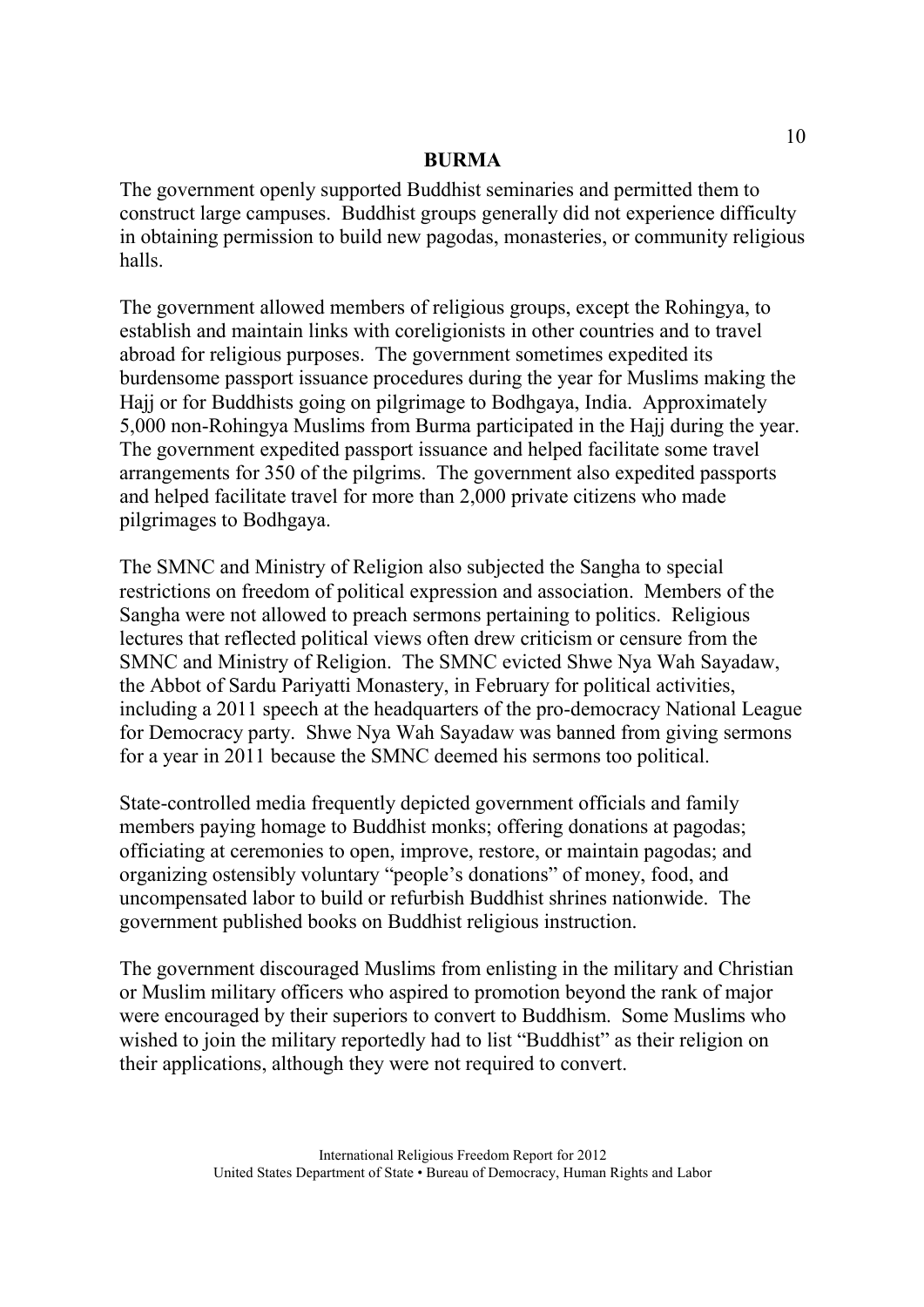The government openly supported Buddhist seminaries and permitted them to construct large campuses. Buddhist groups generally did not experience difficulty in obtaining permission to build new pagodas, monasteries, or community religious halls.

The government allowed members of religious groups, except the Rohingya, to establish and maintain links with coreligionists in other countries and to travel abroad for religious purposes. The government sometimes expedited its burdensome passport issuance procedures during the year for Muslims making the Hajj or for Buddhists going on pilgrimage to Bodhgaya, India. Approximately 5,000 non-Rohingya Muslims from Burma participated in the Hajj during the year. The government expedited passport issuance and helped facilitate some travel arrangements for 350 of the pilgrims. The government also expedited passports and helped facilitate travel for more than 2,000 private citizens who made pilgrimages to Bodhgaya.

The SMNC and Ministry of Religion also subjected the Sangha to special restrictions on freedom of political expression and association. Members of the Sangha were not allowed to preach sermons pertaining to politics. Religious lectures that reflected political views often drew criticism or censure from the SMNC and Ministry of Religion. The SMNC evicted Shwe Nya Wah Sayadaw, the Abbot of Sardu Pariyatti Monastery, in February for political activities, including a 2011 speech at the headquarters of the pro-democracy National League for Democracy party. Shwe Nya Wah Sayadaw was banned from giving sermons for a year in 2011 because the SMNC deemed his sermons too political.

State-controlled media frequently depicted government officials and family members paying homage to Buddhist monks; offering donations at pagodas; officiating at ceremonies to open, improve, restore, or maintain pagodas; and organizing ostensibly voluntary "people's donations" of money, food, and uncompensated labor to build or refurbish Buddhist shrines nationwide. The government published books on Buddhist religious instruction.

The government discouraged Muslims from enlisting in the military and Christian or Muslim military officers who aspired to promotion beyond the rank of major were encouraged by their superiors to convert to Buddhism. Some Muslims who wished to join the military reportedly had to list "Buddhist" as their religion on their applications, although they were not required to convert.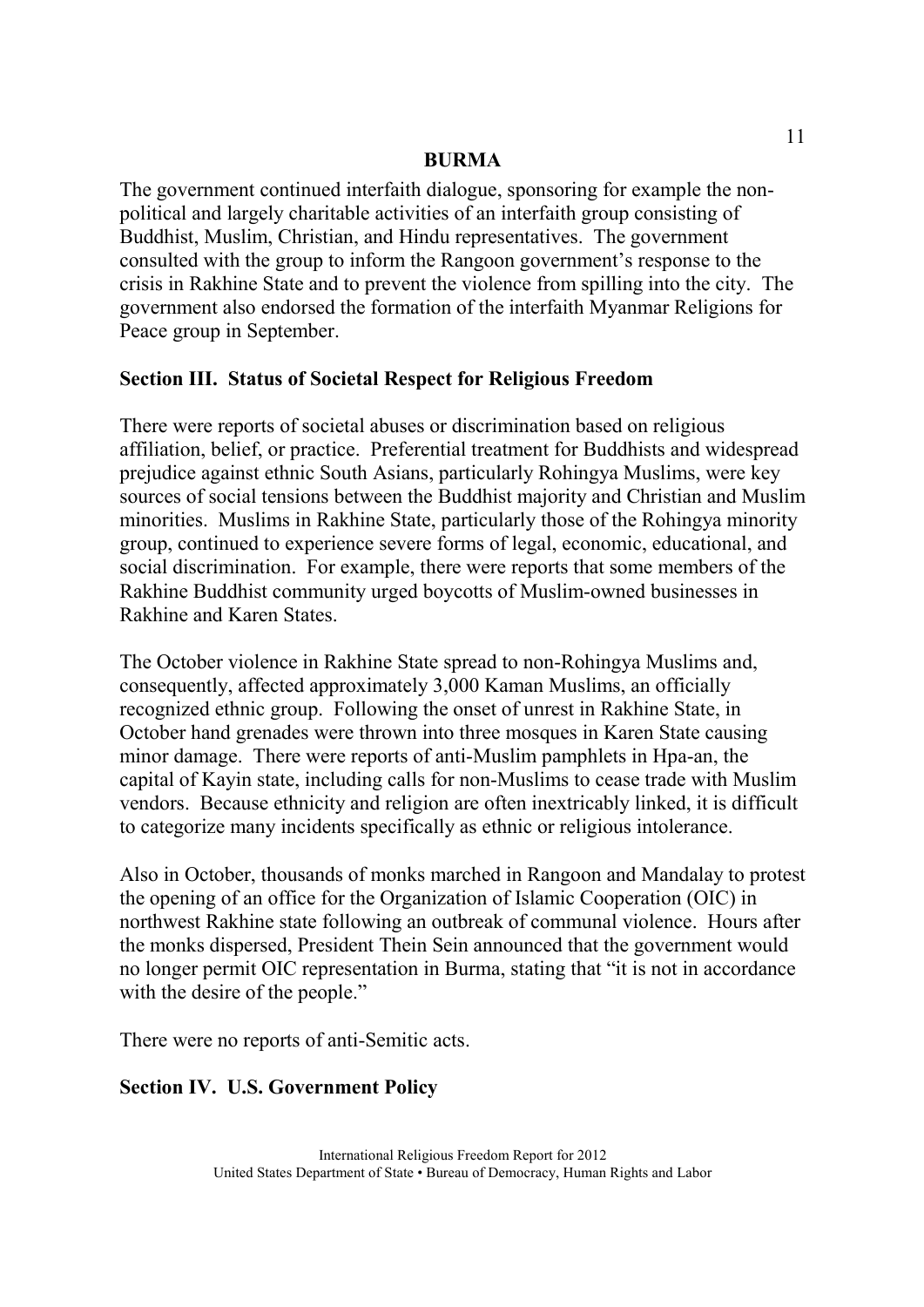The government continued interfaith dialogue, sponsoring for example the nonpolitical and largely charitable activities of an interfaith group consisting of Buddhist, Muslim, Christian, and Hindu representatives. The government consulted with the group to inform the Rangoon government's response to the crisis in Rakhine State and to prevent the violence from spilling into the city. The government also endorsed the formation of the interfaith Myanmar Religions for Peace group in September.

## **Section III. Status of Societal Respect for Religious Freedom**

There were reports of societal abuses or discrimination based on religious affiliation, belief, or practice. Preferential treatment for Buddhists and widespread prejudice against ethnic South Asians, particularly Rohingya Muslims, were key sources of social tensions between the Buddhist majority and Christian and Muslim minorities. Muslims in Rakhine State, particularly those of the Rohingya minority group, continued to experience severe forms of legal, economic, educational, and social discrimination. For example, there were reports that some members of the Rakhine Buddhist community urged boycotts of Muslim-owned businesses in Rakhine and Karen States.

The October violence in Rakhine State spread to non-Rohingya Muslims and, consequently, affected approximately 3,000 Kaman Muslims, an officially recognized ethnic group. Following the onset of unrest in Rakhine State, in October hand grenades were thrown into three mosques in Karen State causing minor damage. There were reports of anti-Muslim pamphlets in Hpa-an, the capital of Kayin state, including calls for non-Muslims to cease trade with Muslim vendors. Because ethnicity and religion are often inextricably linked, it is difficult to categorize many incidents specifically as ethnic or religious intolerance.

Also in October, thousands of monks marched in Rangoon and Mandalay to protest the opening of an office for the Organization of Islamic Cooperation (OIC) in northwest Rakhine state following an outbreak of communal violence. Hours after the monks dispersed, President Thein Sein announced that the government would no longer permit OIC representation in Burma, stating that "it is not in accordance with the desire of the people."

There were no reports of anti-Semitic acts.

# **Section IV. U.S. Government Policy**